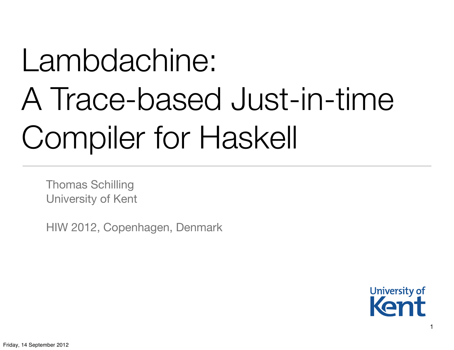# Lambdachine: A Trace-based Just-in-time Compiler for Haskell

Thomas Schilling University of Kent

HIW 2012, Copenhagen, Denmark

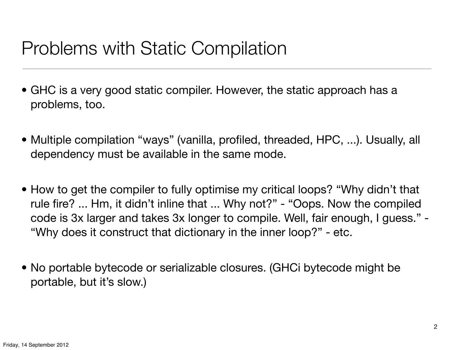# Problems with Static Compilation

- GHC is a very good static compiler. However, the static approach has a problems, too.
- Multiple compilation "ways" (vanilla, profiled, threaded, HPC, ...). Usually, all dependency must be available in the same mode.
- How to get the compiler to fully optimise my critical loops? "Why didn't that rule fire? ... Hm, it didn't inline that ... Why not?" - "Oops. Now the compiled code is 3x larger and takes 3x longer to compile. Well, fair enough, I guess." - "Why does it construct that dictionary in the inner loop?" - etc.
- No portable bytecode or serializable closures. (GHCi bytecode might be portable, but it's slow.)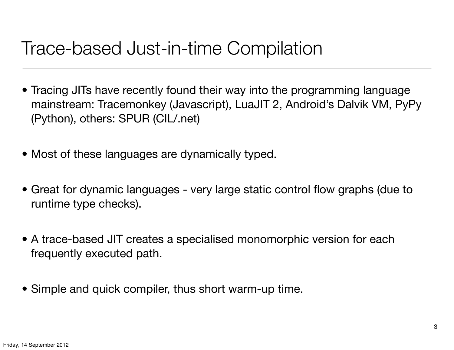### Trace-based Just-in-time Compilation

- Tracing JITs have recently found their way into the programming language mainstream: Tracemonkey (Javascript), LuaJIT 2, Android's Dalvik VM, PyPy (Python), others: SPUR (CIL/.net)
- Most of these languages are dynamically typed.
- Great for dynamic languages very large static control flow graphs (due to runtime type checks).
- A trace-based JIT creates a specialised monomorphic version for each frequently executed path.
- Simple and quick compiler, thus short warm-up time.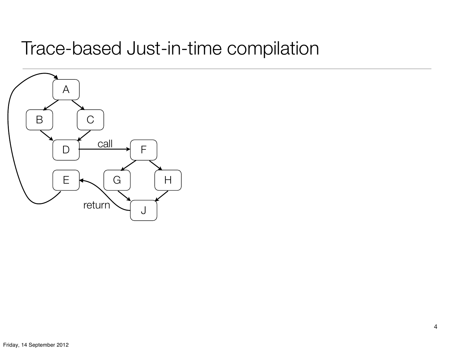# Trace-based Just-in-time compilation

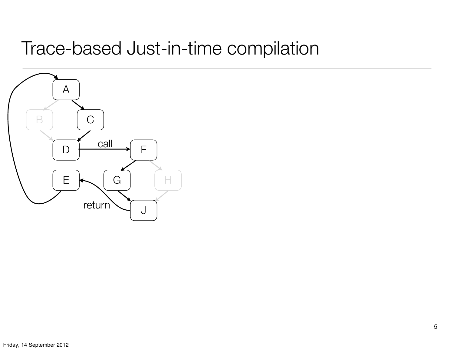# Trace-based Just-in-time compilation

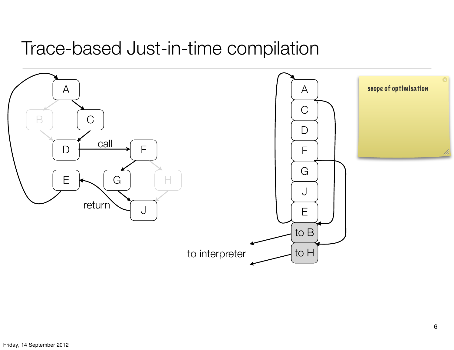#### Trace-based Just-in-time compilation

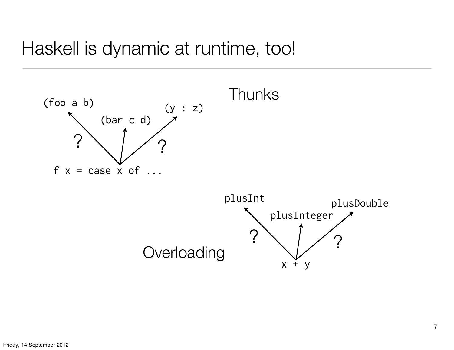#### Haskell is dynamic at runtime, too!

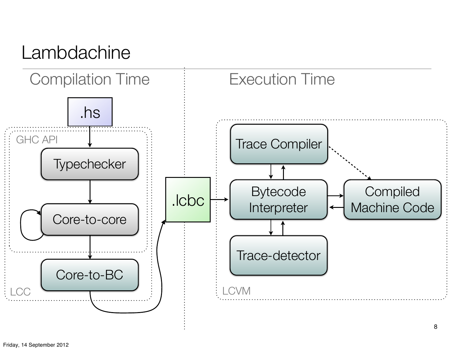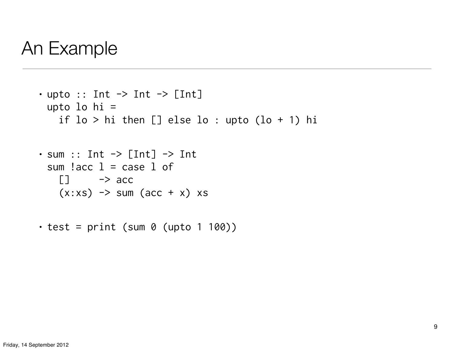#### An Example

```
\cdot upto :: Int \rightarrow Int \rightarrow [Int]
 upto lo hi =
    if lo > hi then [] else lo : upto (lo + 1) hi
\cdot sum :: Int \rightarrow [Int] \rightarrow Int
```

```
sum l acc l = case l of
  \Box \rightarrow acc
  (x:xs) \rightarrow sum (acc + x) xs
```
 $\cdot$  test = print (sum 0 (upto 1 100))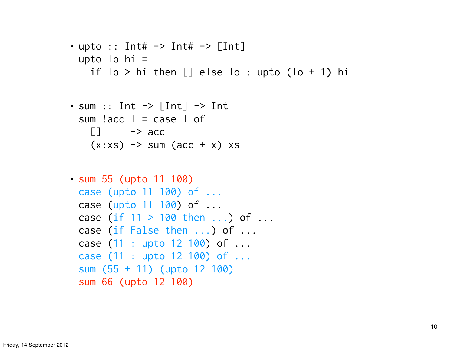```
• upto :: Int# \rightarrow Int# \rightarrow [Int]
 upto lo hi =
     if lo > hi then [] else lo : upto (lo + 1) hi
```

```
\cdot sum :: Int \rightarrow [Int] \rightarrow Int
  sum l acc l = case l of
     \Box \rightarrow acc
     (x:xs) \rightarrow sum (acc + x) xs
```

```
• sum 55 (upto 11 100)
 case (upto 11 100) of ...
 case (upto 11 100) of ...
 case (if 11 > 100 then ...) of ...
 case (if False then ...) of ...
 case (11 : upto 12 100) of ...
 case (11 : upto 12 100) of ...
 sum (55 + 11) (upto 12 100)
 sum 66 (upto 12 100)
```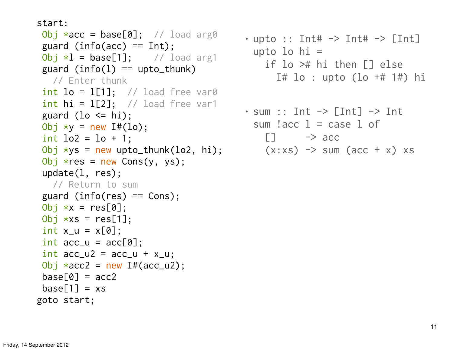start:

```
Obj *acc = base[0]; // load arg0
guard (info(acc) == Int);
Obj *1 = base[1]; // load arg1
guard (info(1) == upto_thunk)
   // Enter thunk
 int lo = 1[1]; // load free var0
 int hi = 1[2]; // load free var1
 guard (lo \le hi);
 Obj *y = new If(lo);int log = 10 + 1;
Obj \starys = new upto_thunk(lo2, hi);
Obj *res = new Cons(y, ys); update(l, res);
   // Return to sum
 guard (info(res) == Cons);
Obj *x = res[0];
Obj \starxs = res[1];
 int x_u = x[0];
 int acc_u = acc[0];int acc_u2 = acc_u + x_u;Obj *acc2 = new If (acc_u2);base[0] = acc2base[1] = xsgoto start;
```
- upto :: Int#  $\rightarrow$  Int#  $\rightarrow$  [Int] upto lo hi = if lo ># hi then [] else I# lo : upto (lo +# 1#) hi
- $\cdot$  sum :: Int  $\rightarrow$  [Int]  $\rightarrow$  Int sum  $l$  acc  $l$  = case  $l$  of  $\Box$   $\rightarrow$  acc  $(x:xs) \rightarrow sum (acc + x) xs$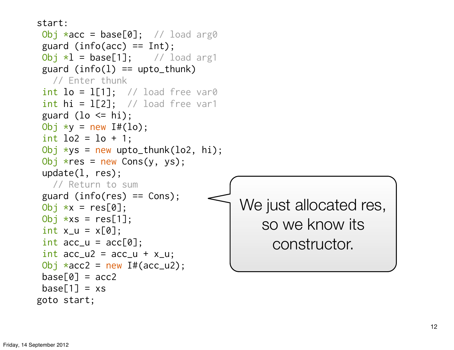```
start:
Obj *acc = base[0]; // load arg0
guard (info(acc) == Int);
 Obj *1 = base[1]; // load arg1
guard (info(1) == upto_thunk)
   // Enter thunk
 int lo = 1[1]; // load free var0
 int hi = 1[2]; // load free var1
 guard (lo \le hi);
 Obj *y = new If(lo);int lo2 = lo + 1;
Obj *ys = new upto_thunk(log, hi);Obj *res = new Cons(y, ys); update(l, res);
   // Return to sum
 guard (info(res) == Cons);
Obj *x = res[0];
Obj \starxs = res[1];
 int x_u = x[0];
 int acc_u = acc[0];int acc_u2 = acc_u + x_u;Obj *acc2 = new If (acc_u2);base[0] = acc2base[1] = xsWe just allocated res, 
                                          so we know its 
                                            constructor.
```

```
Friday, 14 September 2012
```
goto start;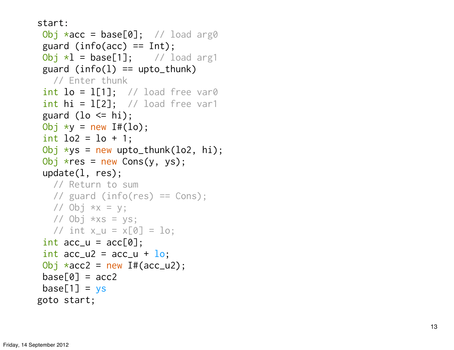```
start:
 Obj *acc = base[0]; // load arg0
 guard (info(acc) == Int);
Obj *l = base[1]; // load arg1
 guard (info(1) == upto_thunk)
   // Enter thunk
 int lo = 1[1]; // load free var0
 int hi = 1[2]; // load free var1
 guard (lo \le hi);
 Obj *y = new If(lo);int lo2 = lo + 1;
 Obj \starys = new upto_thunk(lo2, hi);
 Obj *res = new Cons(y, ys); update(l, res);
    // Return to sum
    // guard (info(res) == Cons);
   // Obj *x = y;
   // Obj *xs = ys;// int x_{-}u = x[0] = 10;
 int acc_u = acc[0];
 int acc_u2 = acc_u + \underline{lo};Obj *acc2 = new If (acc_u2);base[0] = acc2base[1] = vsgoto start;
```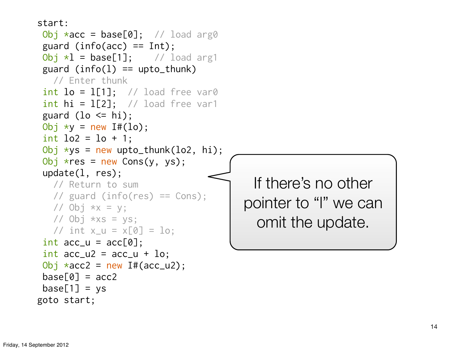```
start:
Obj *acc = base[0]; // load arg0
guard (info(acc) == Int);
Obj *1 = base[1]; // load arg1
guard (info(1) == upto_thunk)
   // Enter thunk
int lo = 1[1]; // load free var0
int hi = 1[2]; // load free var1
guard (lo \le hi);
Obj *y = new If(lo);int lo2 = lo + 1;
Obj \starys = new upto_thunk(lo2, hi);
Obj *res = new Cons(y, ys); update(l, res);
   // Return to sum
   // guard (info(res) == Cons);
  // Obj *x = y;
  // Obj *xs = ys;// int x_{-}u = x[0] = 10;
int acc_u = acc[0];
int acc_u2 = acc_u + \log u;
Obj *acc2 = new If (acc_u2);base[0] = acc2base[1] = vsIf there's no other 
                                       pointer to "l" we can 
                                         omit the update.
```

```
goto start;
```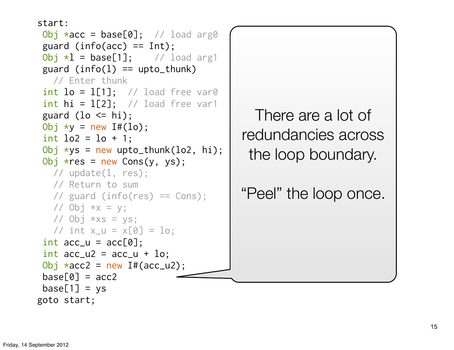```
start:
Obj *acc = base[0]; // load arg0
 guard (info(acc) == Int);
 Obj *1 = base[1]; // load arg1
 guard (info(1) == upto_thunk)
   // Enter thunk
 int lo = 1[1]; // load free var0
 int hi = 1[2]; // load free var1
 guard (lo \le hi);
 Obj *y = new If(lo);int lo2 = lo + 1;
 Obj \starys = new upto_thunk(lo2, hi);
 Obj *res = new Cons(y, ys); // update(l, res);
   // Return to sum
    // guard (info(res) == Cons);
  // Obj *x = y;
  // Obj *xs = ys;// int x=u = x[0] = 10;
 int acc_u = acc[0];int acc_u2 = acc_u + \log u;
 Obj *acc2 = new If (acc_u2);base[0] = acc2base[1] = ysgoto start;
```
There are a lot of redundancies across the loop boundary.

"Peel" the loop once.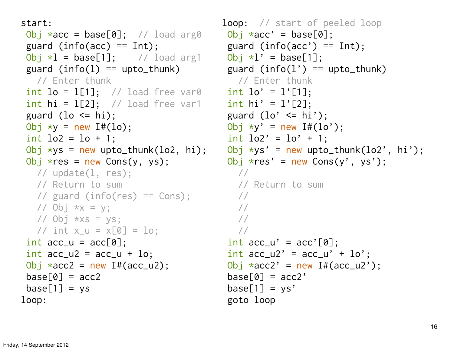```
start:
Obj *acc = base[0]; // load arg0
guard (info(acc) == Int);
Obj *1 = base[1]; // load arg1
guard (info(1) == upto_thunk)
  // Enter thunk
 int lo = l[1]; // load free var0
 int hi = 1[2]; // load free var1
guard (lo \le hi);
Obj *y = new If(lo);int lo2 = lo + 1;
Obj \starys = new upto_thunk(lo2, hi);
Obj *res = new Cons(y, ys); // update(l, res);
   // Return to sum
   // guard (info(res) == Cons);
  // Obj *x = y;
  // Obj ***s = ys;// int x=u = x[0] = 10;
 int acc_u = acc[0];int acc_u2 = acc_u + \log uObj \staracc2 = new I#(acc_u2);
base[0] = acc2base[1] = ysloop:
```

```
loop: // start of peeled loop
Obj \; \star acc' = base[0];guard (info(acc') == Int);
 Obj *l' = base[1];guard (info(1') == upto_thunk)
    // Enter thunk
  int lo' = 1'[1];int hi' = 1'[2];
  guard (lo' \le hi');Obj *y' = new If(lo');int lo2' = lo' + 1;
  Obj *ys' = new upto_thunk(lo2', hi');Obj *res' = new Cons(y', ys'); // 
     // Return to sum
     // 
     // 
     // 
     // 
  int acc_u' = acc'[0];int acc_u2' = acc_u' + \ln';
  Obj *acc2' = new I#(acc_u2');
  base[0] = acc2'base[1] = ys' goto loop
```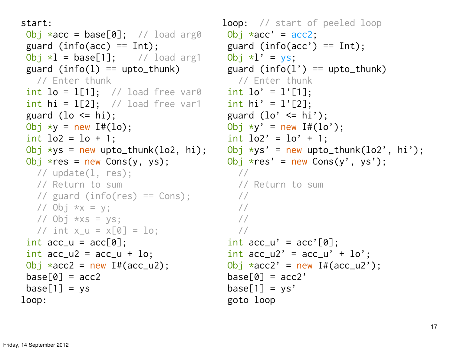```
start:
Obj *acc = base[0]; // load arg0
guard (info(acc) == Int);
Obj *1 = base[1]; // load arg1
guard (info(1) == upto_thunk)
  // Enter thunk
 int lo = 1[1]; // load free var0
 int hi = 1[2]; // load free var1
guard (lo \le hi);
Obj *y = new If(lo);int lo2 = lo + 1;
Obj \starys = new upto_thunk(lo2, hi);
Obj *res = new Cons(y, ys); // update(l, res);
   // Return to sum
   // guard (info(res) == Cons);
  // Obj *x = y;
  // Obj ***s = ys;// int x=u = x[0] = 10;
 int acc_u = acc[0];int acc_u2 = acc_u + \log uObj \staracc2 = new I#(acc_u2);
base[0] = acc2base[1] = ysloop:
```

```
loop: // start of peeled loop
Obj *acc' = acc2;guard (info(acc') == Int);
  Obj *l' = vs;guard (info(1') == upto_thunk) // Enter thunk
  int lo' = 1'[1];int hi' = 1'[2];
  guard (lo' \le hi');Obj *y' = new If(lo');int lo2' = lo' + 1;
  Obj *ys' = new upto_thunk(lo2', hi');Obj *res' = new Cons(y', ys'); // 
     // Return to sum
     // 
     // 
     // 
     // 
  int acc_u' = acc'[0];int acc_u2' = acc_u' + \ln';
  Obj *acc2' = new I#(acc_u2');
  base[0] = acc2'base[1] = ys' goto loop
```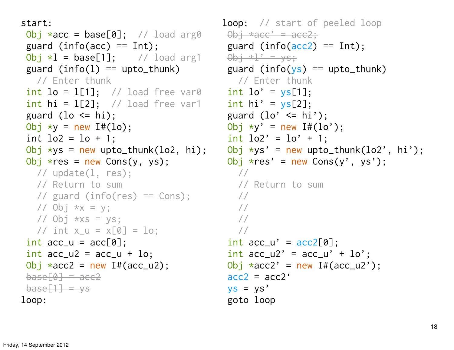```
start:
Obj *acc = base[0]; // load arg0
guard (info(acc) == Int);
Obj *1 = base[1]; // load arg1
guard (info(1) == upto_thunk)
  // Enter thunk
 int lo = l[1]; // load free var0
 int hi = 1[2]; // load free var1
guard (lo \le hi);
Obj *y = new If(lo);int lo2 = lo + 1;
Obj \starys = new upto_thunk(lo2, hi);
Obj *res = new Cons(y, ys); // update(l, res);
   // Return to sum
   // guard (info(res) == Cons);
  // Obj *x = y;
  // Obj ***s = ys;// int x_{-}u = x[0] = 10;
 int acc_u = acc[0];int acc_u2 = acc_u + log;
Obj *acc2 = new If(acc_u2);base[0] = ace2base[1] = vsloop:
```

```
loop: // start of peeled loop
  \thetabj *acc' = acc2;
    guard (info(acc2) == Int);
\thetabi \starl' = ys;
    guard (info(ys) == upto_thunk)
      // Enter thunk
    int lo' = ys[1];int hi' = \gamma s[2];
    guard (lo' \le hi');Obj *y' = new If(lo');int lo2' = lo' + 1;
    Obj *ys' = new upto_thunk(lo2', hi');Obj *res' = new Cons(y', ys');
        // 
        // Return to sum
        // 
        // 
        // 
        // 
    int acc_u' = acc2[0];
    int acc_u2' = acc_u' + \ln';
    Obj *acc2' = new I#(acc_u2');
    acc2 = acc2'ys = ys' goto loop
```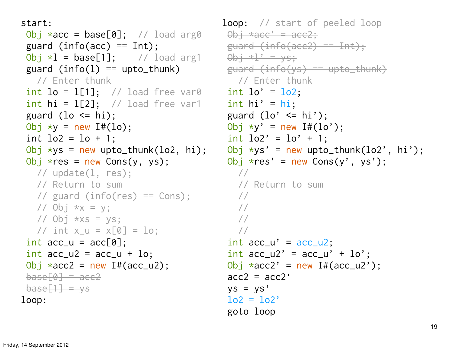```
start:
Obj *acc = base[0]; // load arg0
guard (info(acc) == Int);
 Obj *l = base[1]; // load arg1 \thetabj *l' = ys;guard (info(1) == upto_thunk)
  // Enter thunk
 int lo = 1[1]; // load free var0
 int hi = 1[2]; // load free var1
guard (lo \le hi);
Obj *y = new I#(lo);int lo2 = lo + 1;
Obj \starys = new upto_thunk(lo2, hi);
Obj *res = new Cons(y, ys); // update(l, res);
   // Return to sum
   // guard (info(res) == Cons);
  // Obj *x = y;
  // Obj ***s = ys;// int x_{-}u = x[0] = 10;
 int acc_u = acc[0];int acc_u2 = acc_u + lo;Obj *acc2 = new If (acc_u2);base[0] = ace2base[1] = vsloop:
```

```
loop: // start of peeled loop
\thetabi *acc' = acc2:
 guard (info(acc2) == Int);
 guard (info(ys) == upto_thunk)
    // Enter thunk
  int lo' = lo2;
  int hi' = hi;
  guard (lo' \le hi');Obj *y' = new If(lo');int lo2' = lo' + 1;
  Obj *ys' = new upto_thunk(lo2', hi');Obj *res' = new Cons(y', ys');
     // 
     // Return to sum
     // 
     // 
     // 
     // 
  int acc_u' = acc_u;
  int acc_u2' = acc_u' + lo';Obj *acc2' = new I#(acc_u2');
  acc2 = acc2'ys = ys'\log 2 = \log 2' goto loop
```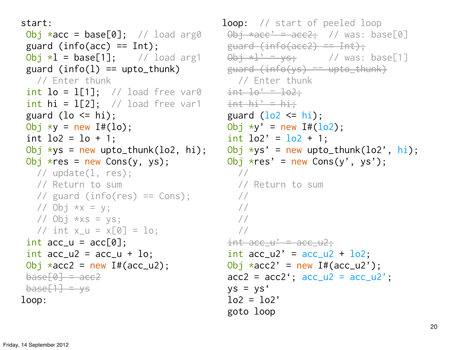```
start:
Obj *acc = base[0]; // load arg0
guard (info(acc) == Int);
Obj *1 = base[1]; // load arg1
guard (info(1) == upto_thunk)
  // Enter thunk
 int lo = l[1]; // load free var0 int lo' = lo2;int hi = 1[2]; // load free var1
guard (lo \le hi);
Obj *y = new I#(lo);int lo2 = lo + 1;
Obj \starys = new upto_thunk(lo2, hi);
Obj *res = new Cons(y, ys); // update(l, res);
   // Return to sum
   // guard (info(res) == Cons);
  // Obj *x = y;
  // Obj ***s = ys;// int x_{-}u = x[0] = 10;
 int acc_u = acc[0];int acc_u2 = acc_u + lo;Obj *acc2 = new If (acc_u2);base[0] = ace2base[1] = vsloop:
```

```
loop: // start of peeled loop
    \thetabj *acc' = acc2; // was: base[0]
   guard (info(acc2) == Int);
\thetabi \starl' = ys; // was: base[1]
    guard (info(ys) == upto_thunk) // Enter thunk
    int h_i' = h_i;
    guard (\log 2 \leq h_i);
    Obj *y' = new If(lo2);int lo2' = lo2 + 1;
    Obj *ys' = new upto_thunk(log', hi);Obj *res' = new Cons(y', ys');
        // 
       // Return to sum
        // 
        // 
        // 
        // 
    int acc_u' = acc_u2;
    int acc_u2' = acc_u2 + \logObj *acc2' = new I#(acc_u2');
    acc2 = acc2'; acc_u2 = acc_u2';ys = ys'lo2 = lo2' goto loop
```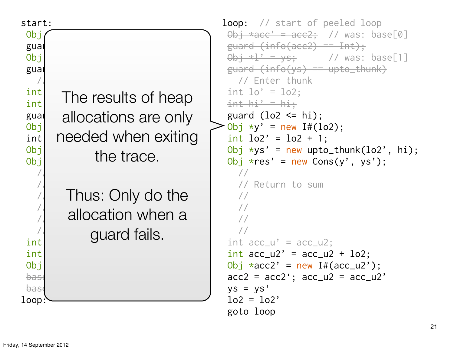| start:<br>Obj<br>gual<br>Obj<br>gual<br>int<br>int<br>guar<br>Obj<br>int<br>Obj<br>Obj<br>int<br>int<br>Obj<br>bas<br>bas<br>loop | The results of heap<br>allocations are only<br>needed when exiting<br>the trace. | loop: // start of peeled loop<br>$\theta$ bj *acc' = acc2; // was: base[0]<br>$guard (info(ace2) == Int);$<br>$\theta$ bj *l' = ys; // was: base[1]<br>$guard (info(sys) == upto_thunk)$<br>// Enter thunk<br>$int$ $10'$ = $102$ ;<br>$int hi' = hi.$<br>guard $(\log \le -hi)$ ;<br>Obj $xy' = new If(lo2);$<br>int $1o2' = 1o2 + 1$ ;<br>Obj $\star$ ys' = new upto_thunk(lo2', hi<br>Obj $*res' = new Cons(y', ys');$<br>// Return to sum<br>$\frac{int \, \arcc{+}u' = \, \arcc{+}u^2;}{u^2}$<br>$int$ acc_u2' = acc_u2 + lo2;<br>Obj $*acc2' = new If(acc_u2');$<br>$acc2 = acc2'; acc_u2 = acc_u2'$<br>$ys = ys'$<br>$log = log'$<br>goto loop |
|-----------------------------------------------------------------------------------------------------------------------------------|----------------------------------------------------------------------------------|-------------------------------------------------------------------------------------------------------------------------------------------------------------------------------------------------------------------------------------------------------------------------------------------------------------------------------------------------------------------------------------------------------------------------------------------------------------------------------------------------------------------------------------------------------------------------------------------------------------------------------------------------------|
|                                                                                                                                   | Thus: Only do the<br>allocation when a<br>guard fails.                           |                                                                                                                                                                                                                                                                                                                                                                                                                                                                                                                                                                                                                                                       |

 $hi);$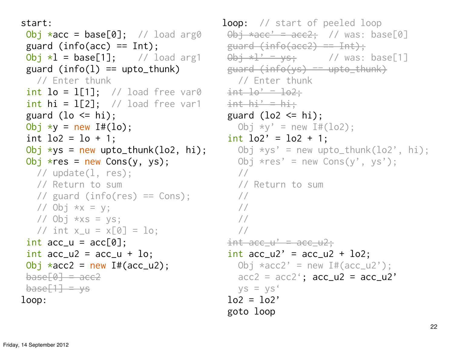```
start:
Obj *acc = base[0]; // load arg0
guard (info(acc) == Int);
Obj *1 = base[1]; // load arg1
guard (info(1) == upto_thunk)
  // Enter thunk
 int lo = l[1]; // load free var0 int lo' = lo2;int hi = 1[2]; // load free var1
guard (lo \le hi);
Obj *y = new I#(lo);int lo2 = lo + 1;
Obj \starys = new upto_thunk(lo2, hi);
Obj *res = new Cons(y, ys); // update(l, res);
   // Return to sum
   // guard (info(res) == Cons);
  // Obj *x = y;
  // Obj ***s = ys;// int x_{-}u = x[0] = 10;
 int acc_u = acc[0];int acc_u2 = acc_u + lo;Obj *acc2 = new If (acc_u2);base[0] = ace2base[1] = vsloop:
```

```
loop: // start of peeled loop
    \thetabj *acc' = acc2; // was: base[0]
    guard (info(acc2) == Int);
\thetab<del>j *l' = ys;</del> // was: base[1]
    guard (info(ys) == upto_thunk) // Enter thunk
    int h_i' = h_i;
    guard (\text{lo2} \leq hi);
       Obj xy' = new I#(lo2);
    int lo2' = lo2 + 1;
       Obj *ys' = new upto_thunk(lo2', hi);Obj *res' = new Cons(y', ys');
        // 
        // Return to sum
        // 
        // 
        // 
        // 
    int acc_u' = acc_u2;
    int acc_u2' = acc_u2 + \logObj *acc2' = new I#(acc_u2');
       \arccos 2 = \arccos 2; \arccos 2 = \arccos 2ys = ys'\log 2 = \log goto loop
```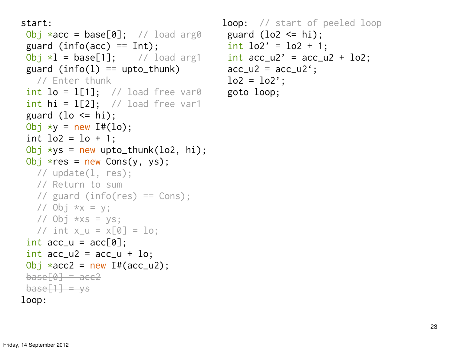```
start:
Obj *acc = base[0]; // load arg0
```

```
guard (info(acc) == Int);
Obj *1 = base[1]; // load arg1
guard (info(1) == upto_thunk)
  // Enter thunk
 int lo = l[1]; // load free var0 goto loop;
 int hi = 1[2]; // load free var1
guard (lo \le hi);
Obj *y = new I#(lo);int lo2 = lo + 1;
Obj \starys = new upto_thunk(lo2, hi);
Obj *res = new Cons(y, ys); // update(l, res);
   // Return to sum
   // guard (info(res) == Cons);
  // Obj *x = y;
  // Obj ***s = ys;// int x_{-}u = x[0] = 10;
 int acc_u = acc[0];
 int acc_u2 = acc_u + lo;Obj *acc2 = new If (acc_u2);base[0] = ace2base[1] = vsloop:
```

```
loop: // start of peeled loop
guard (lo2 \leq hi);
  int lo2' = lo2 + 1;
   int acc_u2' = acc_u2 + \logacc_u2 = acc_u2';lo2 = lo2;
```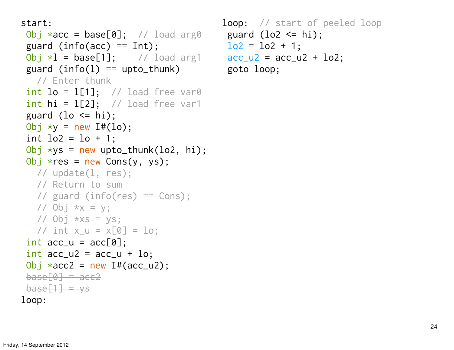```
start:
 Obj *acc = base[0]; // load arg0 guard (lo2 \leq hi);
guard (info(acc) == Int);
 Obj *l = base[1]; // load arg1 acc_l = acc_l + lo2;guard (info(1) == upto_thunk)
  // Enter thunk
 int lo = l[1]; // load free var0
 int hi = 1[2]; // load free var1
guard (lo \le hi);
Obj *y = new I#(lo);int lo2 = lo + 1;
Obj \starys = new upto_thunk(lo2, hi);
Obj *res = new Cons(y, ys); // update(l, res);
   // Return to sum
   // guard (info(res) == Cons);
  // Obj *x = y;
  // Obj ***s = ys;// int x_{-}u = x[0] = 10;
 int acc_u = acc[0];
 int acc_u2 = acc_u + lo;Obj *acc2 = new If (acc_u2);base[0] = ace2base[1] = vsloop:
```

```
loop: // start of peeled loop
      \log 2 = \log 1 + 1;
 goto loop;
```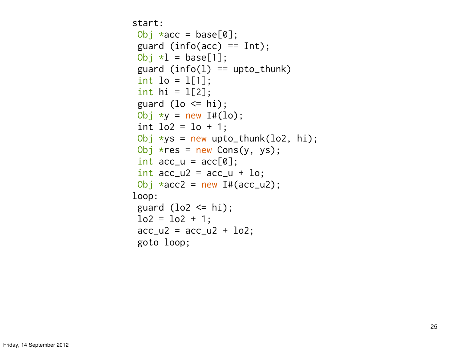```
start:
Obj *acc = base[0];
guard (info(acc) == Int);
Obj *1 = \text{base}[1];
guard (info(1) == upto_thunk)
int 10 = 1[1];int hi = 1[2];
guard (lo \le hi);
Obj *y = new If(lo);int lo2 = lo + 1;
Obj *ys = new upto_thunk(log, hi);Obj *res = new Cons(y, ys);int acc_u = acc[0];int acc_u2 = acc_u + 10;
Obj *acc2 = new If (acc_u2);loop:
guard (lo2 \le hi);
\log z = \log 1 + 1;
 acc_u2 = acc_u2 + \log goto loop;
```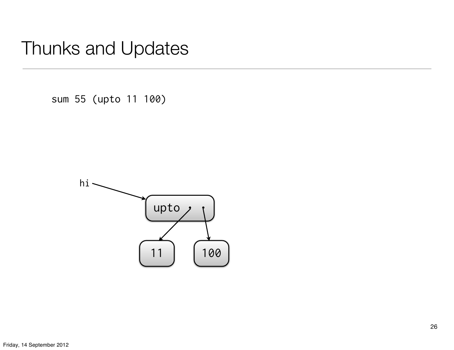sum 55 (upto 11 100)

![](_page_25_Figure_2.jpeg)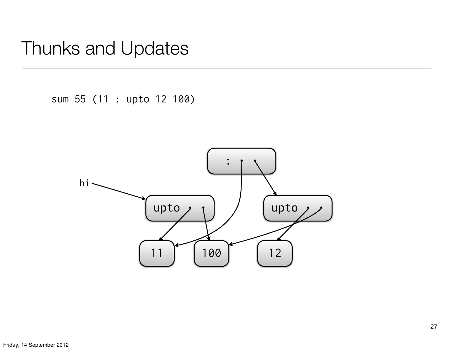sum 55 (11 : upto 12 100)

![](_page_26_Figure_2.jpeg)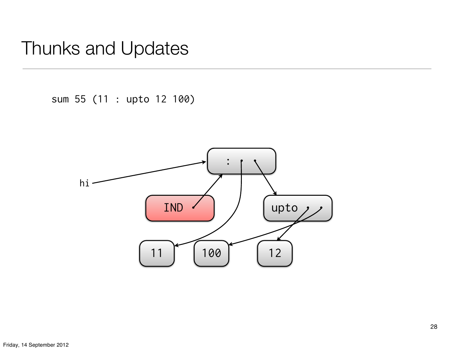sum 55 (11 : upto 12 100)

![](_page_27_Figure_2.jpeg)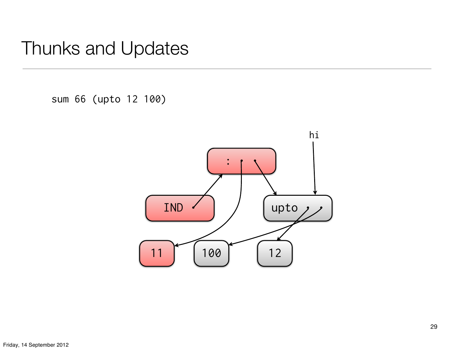sum 66 (upto 12 100)

![](_page_28_Figure_2.jpeg)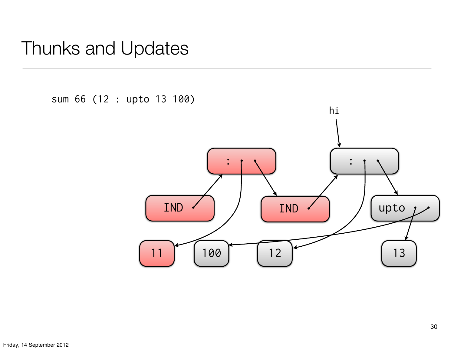sum 66 (12 : upto 13 100)

![](_page_29_Figure_2.jpeg)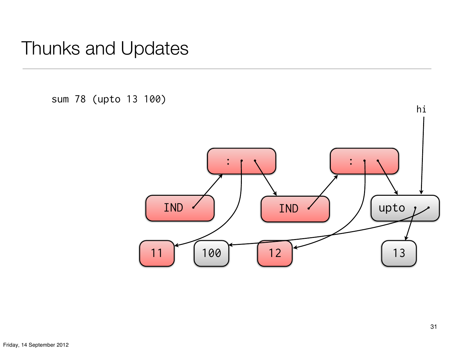sum 78 (upto 13 100)

![](_page_30_Figure_2.jpeg)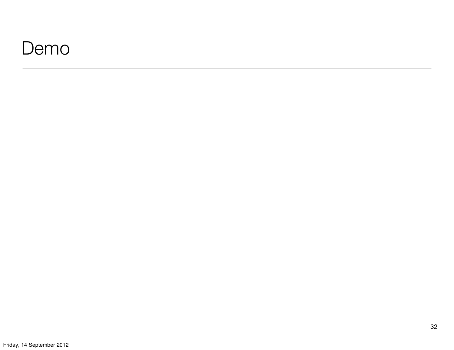#### Demo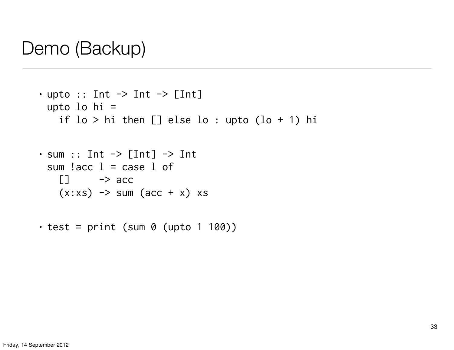```
\cdot upto :: Int \rightarrow Int \rightarrow [Int]
 upto lo hi =
     if lo > hi then [] else lo : upto (lo + 1) hi
```

```
\cdot sum :: Int \rightarrow [Int] \rightarrow Int
  sum l acc l = case l of
    \Box \rightarrow acc
     (x:xs) \rightarrow sum (acc + x) xs
```
 $\cdot$  test = print (sum 0 (upto 1 100))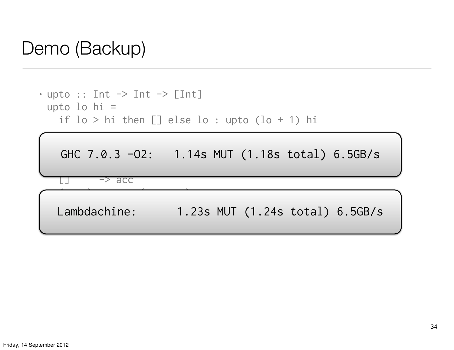$\cdot$  upto :: Int  $\rightarrow$  Int  $\rightarrow$  [Int] upto lo hi = if lo > hi then [] else lo : upto (lo + 1) hi

GHC 7.0.3 -O2: 1.14s MUT (1.18s total) 6.5GB/s

-> acc

 $\mathcal{L} \rightarrow \mathcal{L}$  , such that  $\mathcal{L} \rightarrow \mathcal{L}$  such that  $\mathcal{L} \rightarrow \mathcal{L}$ 

 $\mathcal{L}_{\mathcal{A}}$ 

Lambdachine: 1.23s MUT (1.24s total) 6.5GB/s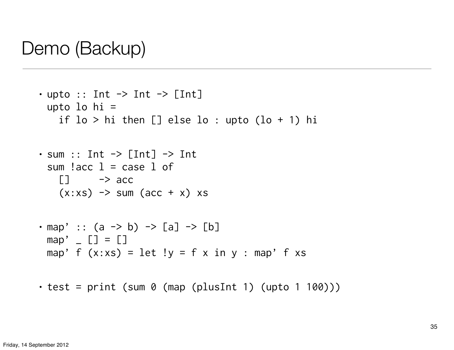```
• upto :: Int \rightarrow Int \rightarrow [Int]
 upto lo hi =
    if lo > hi then [] else lo : upto (lo + 1) hi
\cdot sum :: Int \rightarrow [Int] \rightarrow Int
 sum l acc l = case l of
    \Box \rightarrow acc
    (x:xs) \rightarrow sum (acc + x) xs• map' :: (a \rightarrow b) \rightarrow [a] \rightarrow [b]map' [ [ ] = [ ]map' f (x:xs) = let !y = f x in y : map' f xs
```
 $\cdot$  test = print (sum 0 (map (plusInt 1) (upto 1 100)))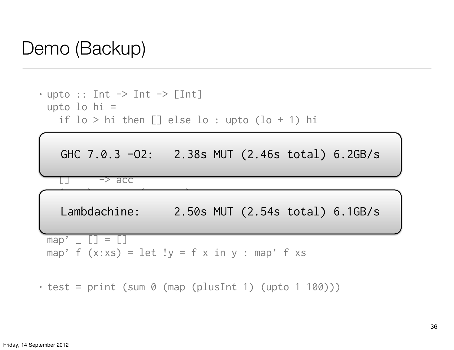```
• upto :: Int \rightarrow Int \rightarrow [Int]
 upto lo hi =
     if lo > hi then [] else lo : upto (lo + 1) hi
```
![](_page_35_Figure_2.jpeg)

 $\cdot$  test = print (sum 0 (map (plusInt 1) (upto 1 100)))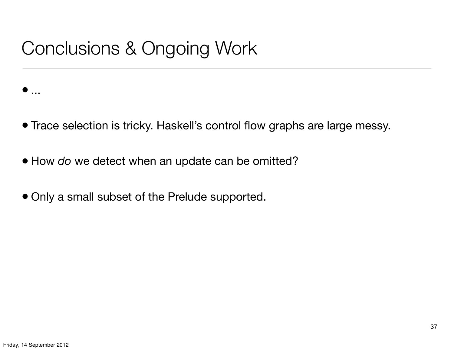# Conclusions & Ongoing Work

- Trace selection is tricky. Haskell's control flow graphs are large messy.
- How *do* we detect when an update can be omitted?
- Only a small subset of the Prelude supported.

 $\bullet$  ...